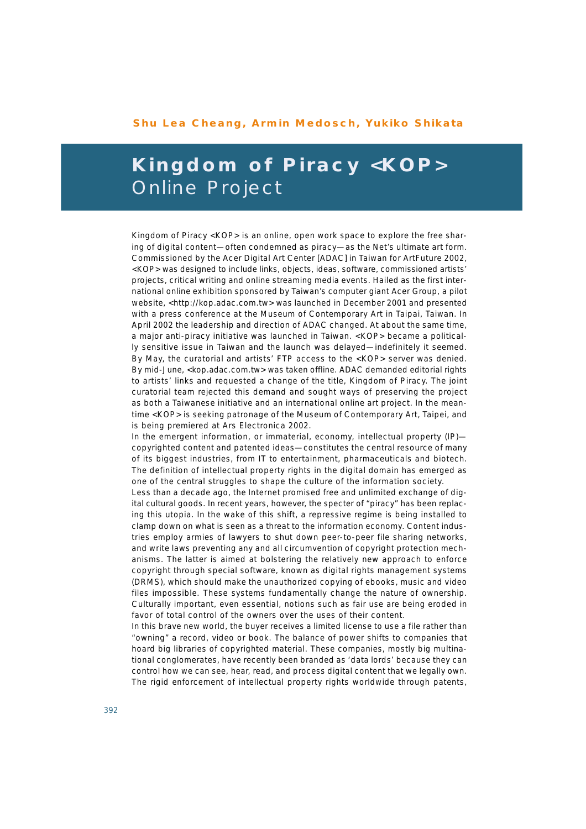## **Shu Lea Cheang, Armin Medosch, Yukiko Shikata**

## **Kingdom of Piracy** *<KOP>* Online Project

*Kingdom of Piracy <KOP>* is an online, open work space to explore the free sharing of digital content—often condemned as piracy—as the Net's ultimate art form. Commissioned by the Acer Digital Art Center [ADAC] in Taiwan for ArtFuture 2002, *<KOP>* was designed to include links, objects, ideas, software, commissioned artists' projects, critical writing and online streaming media events. Hailed as the first international online exhibition sponsored by Taiwan's computer giant Acer Group, a pilot website, *<http://kop.adac.com.tw>* was launched in December 2001 and presented with a press conference at the Museum of Contemporary Art in Taipai, Taiwan. In April 2002 the leadership and direction of ADAC changed. At about the same time, a major anti-piracy initiative was launched in Taiwan. *<KOP>* became a politically sensitive issue in Taiwan and the launch was delayed—indefinitely it seemed. By May, the curatorial and artists' FTP access to the *<KOP>* server was denied. By mid-June, *<kop.adac.com.tw>* was taken offline. ADAC demanded editorial rights to artists' links and requested a change of the title, *Kingdom of Piracy.* The joint curatorial team rejected this demand and sought ways of preserving the project as both a Taiwanese initiative and an international online art project. In the meantime *<KOP>* is seeking patronage of the Museum of Contemporary Art, Taipei, and is being premiered at Ars Electronica 2002.

In the emergent information, or immaterial, economy, intellectual property (IP) copyrighted content and patented ideas—constitutes the central resource of many of its biggest industries, from IT to entertainment, pharmaceuticals and biotech. The definition of intellectual property rights in the digital domain has emerged as one of the central struggles to shape the culture of the information society.

Less than a decade ago, the Internet promised free and unlimited exchange of digital cultural goods. In recent years, however, the specter of "piracy" has been replacing this utopia. In the wake of this shift, a repressive regime is being installed to clamp down on what is seen as a threat to the information economy. Content industries employ armies of lawyers to shut down peer-to-peer file sharing networks, and write laws preventing any and all circumvention of copyright protection mechanisms. The latter is aimed at bolstering the relatively new approach to enforce copyright through special software, known as digital rights management systems (DRMS), which should make the unauthorized copying of ebooks, music and video files impossible. These systems fundamentally change the nature of ownership. Culturally important, even essential, notions such as fair use are being eroded in favor of total control of the owners over the uses of their content.

In this brave new world, the buyer receives a limited license to use a file rather than "owning" a record, video or book. The balance of power shifts to companies that hoard big libraries of copyrighted material. These companies, mostly big multinational conglomerates, have recently been branded as 'data lords' because they can control how we can see, hear, read, and process digital content that we legally own. The rigid enforcement of intellectual property rights worldwide through patents,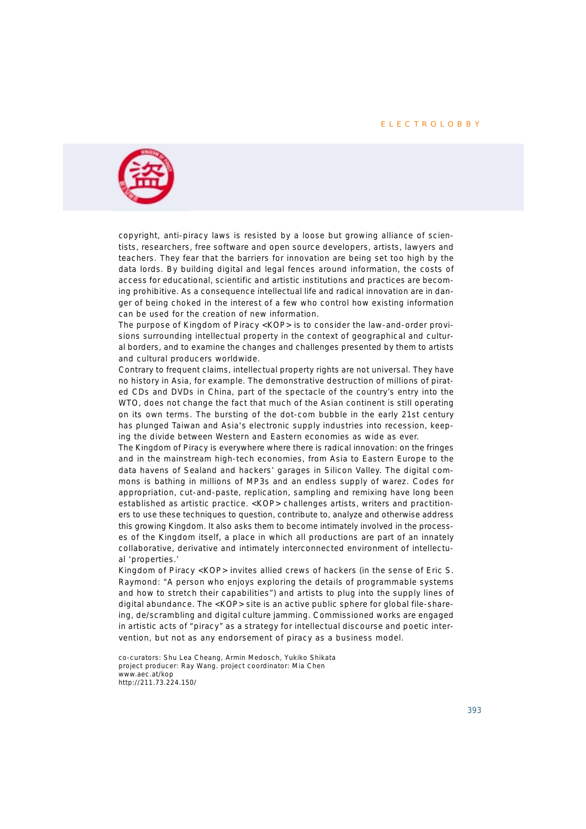#### **ELECTROLOBBY**



copyright, anti-piracy laws is resisted by a loose but growing alliance of scientists, researchers, free software and open source developers, artists, lawyers and teachers. They fear that the barriers for innovation are being set too high by the data lords. By building digital and legal fences around information, the costs of access for educational, scientific and artistic institutions and practices are becoming prohibitive. As a consequence intellectual life and radical innovation are in danger of being choked in the interest of a few who control how existing information can be used for the creation of new information.

The purpose of *Kingdom of Piracy <KOP>* is to consider the law-and-order provisions surrounding intellectual property in the context of geographical and cultural borders, and to examine the changes and challenges presented by them to artists and cultural producers worldwide.

Contrary to frequent claims, intellectual property rights are not universal. They have no history in Asia, for example. The demonstrative destruction of millions of pirated CDs and DVDs in China, part of the spectacle of the country's entry into the WTO, does not change the fact that much of the Asian continent is still operating on its own terms. The bursting of the dot-com bubble in the early 21st century has plunged Taiwan and Asia's electronic supply industries into recession, keeping the divide between Western and Eastern economies as wide as ever.

The Kingdom of Piracy is everywhere where there is radical innovation: on the fringes and in the mainstream high-tech economies, from Asia to Eastern Europe to the data havens of Sealand and hackers' garages in Silicon Valley. The digital commons is bathing in millions of MP3s and an endless supply of warez. Codes for appropriation, cut-and-paste, replication, sampling and remixing have long been established as artistic practice. *<KOP>* challenges artists, writers and practitioners to use these techniques to question, contribute to, analyze and otherwise address this growing Kingdom. It also asks them to become intimately involved in the processes of the Kingdom itself, a place in which all productions are part of an innately collaborative, derivative and intimately interconnected environment of intellectual 'properties.'

*Kingdom of Piracy <KOP>* invites allied crews of hackers (in the sense of Eric S. Raymond: "A person who enjoys exploring the details of programmable systems and how to stretch their capabilities") and artists to plug into the supply lines of digital abundance. The *<KOP>* site is an active public sphere for global file-shareing, de/scrambling and digital culture jamming. Commissioned works are engaged in artistic acts of "piracy" as a strategy for intellectual discourse and poetic intervention, but not as any endorsement of piracy as a business model.

co-curators: Shu Lea Cheang, Armin Medosch, Yukiko Shikata project producer: Ray Wang. project coordinator: Mia Chen *www.aec.at/kop http://211.73.224.150/*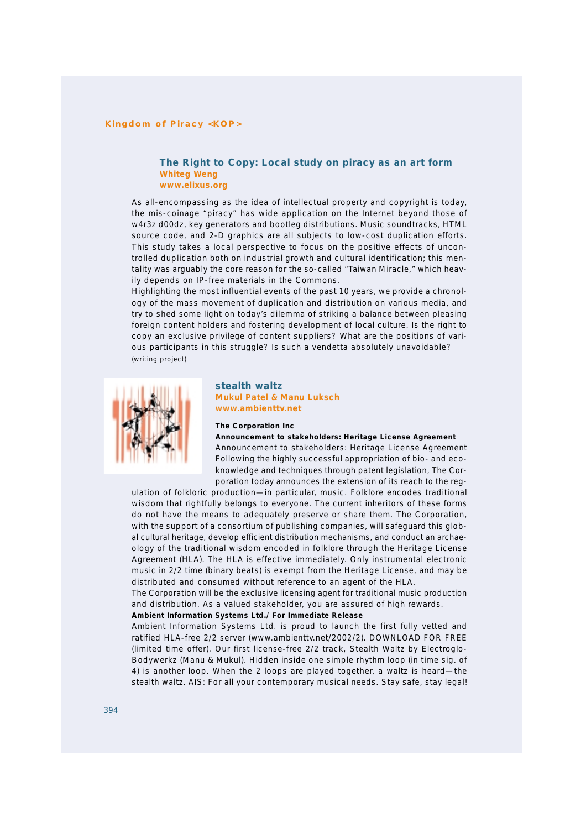#### **Kingdom of Piracy <KOP>**

#### **The Right to Copy: Local study on piracy as an art form Whiteg Weng** *www.elixus.org*

As all-encompassing as the idea of intellectual property and copyright is today, the mis-coinage "piracy" has wide application on the Internet beyond those of w4r3z d00dz, key generators and bootleg distributions. Music soundtracks, HTML source code, and 2-D graphics are all subjects to low-cost duplication efforts. This study takes a local perspective to focus on the positive effects of uncontrolled duplication both on industrial growth and cultural identification; this mentality was arguably the core reason for the so-called "Taiwan Miracle," which heavily depends on IP-free materials in the Commons.

Highlighting the most influential events of the past 10 years, we provide a chronology of the mass movement of duplication and distribution on various media, and try to shed some light on today's dilemma of striking a balance between pleasing foreign content holders and fostering development of local culture. Is the right to copy an exclusive privilege of content suppliers? What are the positions of various participants in this struggle? Is such a vendetta absolutely unavoidable? *(writing project)*



## **stealth waltz Mukul Patel & Manu Luksch** *www.ambienttv.net*

#### **The Corporation Inc**

**Announcement to stakeholders: Heritage License Agreement**

Announcement to stakeholders: Heritage License Agreement Following the highly successful appropriation of bio- and ecoknowledge and techniques through patent legislation, The Corporation today announces the extension of its reach to the reg-

ulation of folkloric production—in particular, music. Folklore encodes traditional wisdom that rightfully belongs to everyone. The current inheritors of these forms do not have the means to adequately preserve or share them. The Corporation, with the support of a consortium of publishing companies, will safeguard this global cultural heritage, develop efficient distribution mechanisms, and conduct an archaeology of the traditional wisdom encoded in folklore through the Heritage License Agreement (HLA). The HLA is effective immediately. Only instrumental electronic music in 2/2 time (binary beats) is exempt from the Heritage License, and may be distributed and consumed without reference to an agent of the HLA.

The Corporation will be the exclusive licensing agent for traditional music production and distribution. As a valued stakeholder, you are assured of high rewards.

#### **Ambient Information Systems Ltd./ For Immediate Release**

Ambient Information Systems Ltd. is proud to launch the first fully vetted and ratified HLA-free 2/2 server *(www.ambienttv.net/2002/2).* DOWNLOAD FOR FREE (limited time offer). Our first license-free 2/2 track, *Stealth Waltz* by Electroglo-Bodywerkz (Manu & Mukul). Hidden inside one simple rhythm loop (in time sig. of 4) is another loop. When the 2 loops are played together, a waltz is heard—the *stealth waltz.* AIS: For all your contemporary musical needs. Stay safe, stay legal!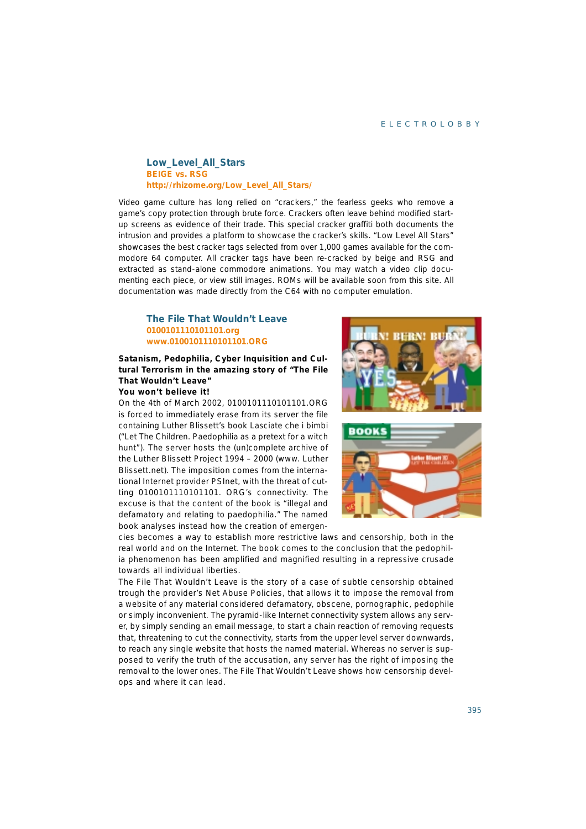#### ELECTROLOBBY

## **Low\_Level\_All\_Stars BEIGE vs. RSG** *http://rhizome.org/Low\_Level\_All\_Stars/*

Video game culture has long relied on "crackers," the fearless geeks who remove a game's copy protection through brute force. Crackers often leave behind modified startup screens as evidence of their trade. This special cracker graffiti both documents the intrusion and provides a platform to showcase the cracker's skills. "Low Level All Stars" showcases the best cracker tags selected from over 1,000 games available for the commodore 64 computer. All cracker tags have been re-cracked by beige and RSG and extracted as stand-alone commodore animations. You may watch a video clip documenting each piece, or view still images. ROMs will be available soon from this site. All documentation was made directly from the C64 with no computer emulation.

## **The File That Wouldn't Leave 0100101110101101.org** *www.0100101110101101.ORG*

## **Satanism, Pedophilia, Cyber Inquisition and Cultural Terrorism in the amazing story of "The File That Wouldn't Leave"**

#### **You won't believe it!**

On the 4th of March 2002, 0100101110101101.ORG is forced to immediately erase from its server the file containing Luther Blissett's book *Lasciate che i bimbi* ("Let The Children. Paedophilia as a pretext for a witch hunt"). The server hosts the (un)complete archive of the Luther Blissett Project 1994 – 2000 (www. Luther Blissett.net). The imposition comes from the international Internet provider PSInet, with the threat of cutting 0100101110101101. ORG's connectivity. The excuse is that the content of the book is "illegal and defamatory and relating to paedophilia." The named book analyses instead how the creation of emergen-





cies becomes a way to establish more restrictive laws and censorship, both in the real world and on the Internet. The book comes to the conclusion that the pedophilia phenomenon has been amplified and magnified resulting in a repressive crusade towards all individual liberties.

The *File That Wouldn't Leave* is the story of a case of subtle censorship obtained trough the provider's Net Abuse Policies, that allows it to impose the removal from a website of any material considered defamatory, obscene, pornographic, pedophile or simply inconvenient. The pyramid-like Internet connectivity system allows any server, by simply sending an email message, to start a chain reaction of removing requests that, threatening to cut the connectivity, starts from the upper level server downwards, to reach any single website that hosts the named material. Whereas no server is supposed to verify the truth of the accusation, any server has the right of imposing the removal to the lower ones. *The File That Wouldn't Leave* shows how censorship develops and where it can lead.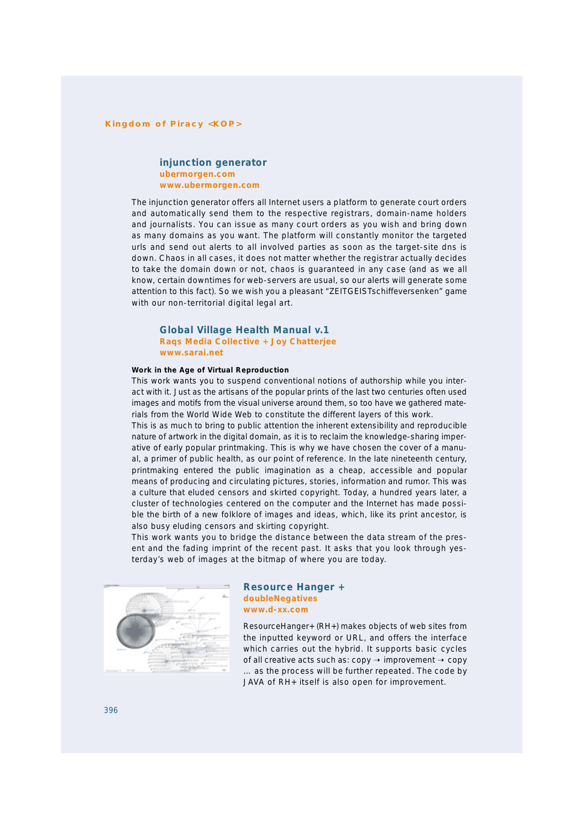#### **Kingdom of Piracy <KOP>**

## **injunction generator ubermorgen.com** *www.ubermorgen.com*

The *injunction generator* offers all Internet users a platform to generate court orders and automatically send them to the respective registrars, domain-name holders and journalists. You can issue as many court orders as you wish and bring down as many domains as you want. The platform will constantly monitor the targeted urls and send out alerts to all involved parties as soon as the target-site dns is down. Chaos in all cases, it does not matter whether the registrar actually decides to take the domain down or not, chaos is guaranteed in any case (and as we all know, certain downtimes for web-servers are usual, so our alerts will generate some attention to this fact). So we wish you a pleasant "ZEITGEISTschiffeversenken" game with our non-territorial digital legal art.

#### **Global Village Health Manual v.1 Raqs Media Collective + Joy Chatterjee** *www.sarai.net*

#### **Work in the Age of Virtual Reproduction**

This work wants you to suspend conventional notions of authorship while you interact with it. Just as the artisans of the popular prints of the last two centuries often used images and motifs from the visual universe around them, so too have we gathered materials from the World Wide Web to constitute the different layers of this work.

This is as much to bring to public attention the inherent extensibility and reproducible nature of artwork in the digital domain, as it is to reclaim the knowledge-sharing imperative of early popular printmaking. This is why we have chosen the cover of a manual, a primer of public health, as our point of reference. In the late nineteenth century, printmaking entered the public imagination as a cheap, accessible and popular means of producing and circulating pictures, stories, information and rumor. This was a culture that eluded censors and skirted copyright. Today, a hundred years later, a cluster of technologies centered on the computer and the Internet has made possible the birth of a new folklore of images and ideas, which, like its print ancestor, is also busy eluding censors and skirting copyright.

This work wants you to bridge the distance between the data stream of the present and the fading imprint of the recent past. It asks that you look through yesterday's web of images at the bitmap of where you are today.



#### **Resource Hanger + doubleNegatives** *www.d-xx.com*

*ResourceHanger+ (RH+)* makes objects of web sites from the inputted keyword or URL, and offers the interface which carries out the hybrid. It supports basic cycles of all creative acts such as:  $copy \rightarrow improvement \rightarrow copy$ … as the process will be further repeated. The code by JAVA of *RH+* itself is also open for improvement.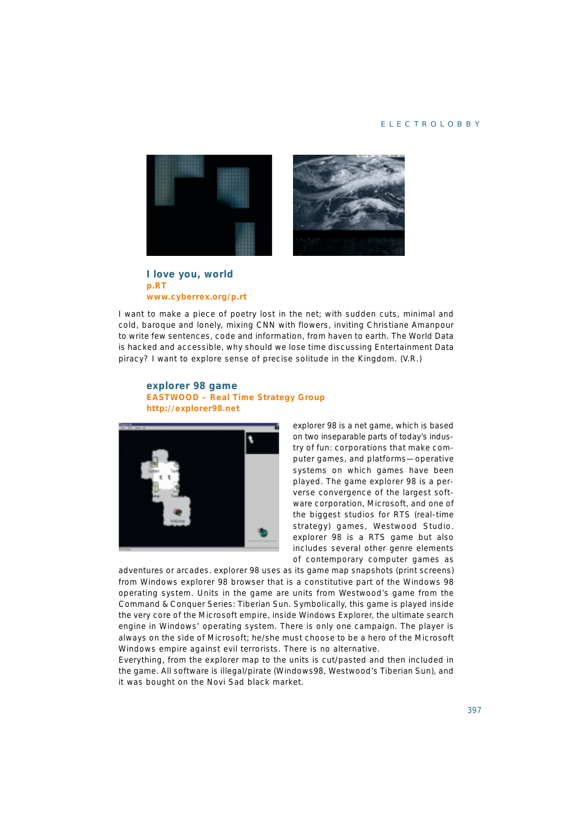#### ELECTROLOBBY



**I love you, world p.RT** *www.cyberrex.org/p.rt*

I want to make a piece of poetry lost in the net; with sudden cuts, minimal and cold, baroque and lonely, mixing CNN with flowers, inviting Christiane Amanpour to write few sentences, code and information, from haven to earth. The World Data is hacked and accessible, why should we lose time discussing Entertainment Data piracy? I want to explore sense of precise solitude in the Kingdom. (V.R.)

## **explorer 98 game EASTWOOD – Real Time Strategy Group** *http://explorer98.net*



*explorer 98* is a net game, which is based on two inseparable parts of today's industry of fun: corporations that make computer games, and platforms—operative systems on which games have been played. The game *explorer 98* is a perverse convergence of the largest software corporation, Microsoft, and one of the biggest studios for RTS (real-time strategy) games, Westwood Studio. *explorer 98* is a RTS game but also includes several other genre elements of contemporary computer games as

adventures or arcades. *explorer 98* uses as its game map snapshots (print screens) from Windows *explorer 98* browser that is a constitutive part of the Windows 98 operating system. Units in the game are units from Westwood's game from the Command & Conquer Series: *Tiberian Sun.* Symbolically, this game is played inside the very core of the Microsoft empire, inside Windows Explorer, the ultimate search engine in Windows' operating system. There is only one campaign. The player is always on the side of Microsoft; he/she must choose to be a hero of the Microsoft Windows empire against evil terrorists. There is no alternative.

Everything, from the explorer map to the units is cut/pasted and then included in the game. All software is illegal/pirate (Windows98, Westwood's *Tiberian Sun),* and it was bought on the Novi Sad black market.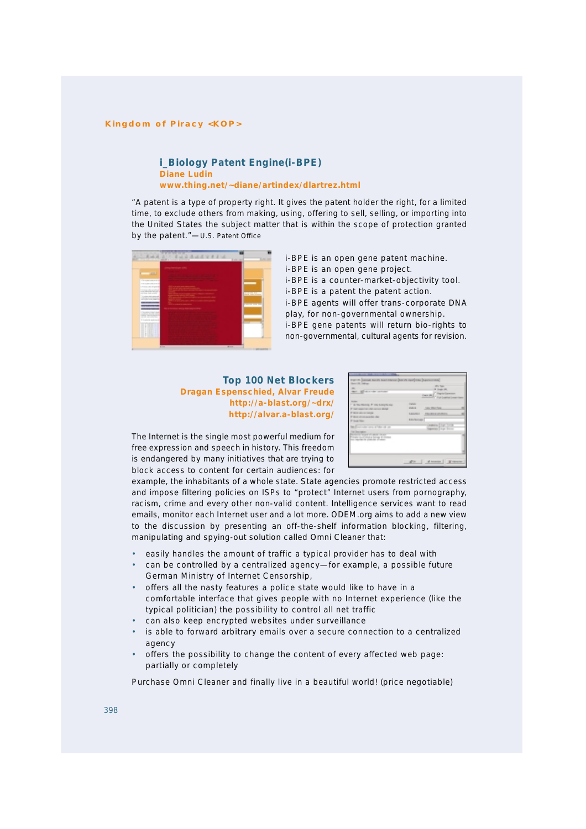#### **Kingdom of Piracy <KOP>**

## **i\_Biology Patent Engine(i-BPE) Diane Ludin** *www.thing.net/~diane/artindex/dlartrez.html*

"A patent is a type of property right. It gives the patent holder the right, for a limited time, to exclude others from making, using, offering to sell, selling, or importing into the United States the subject matter that is within the scope of protection granted by the patent."—U.S. Patent Office



*i-BPE* is an open gene patent machine. *i-BPE* is an open gene project.

*i-BPE* is a counter-market-objectivity tool.

*i-BPE* is a patent the patent action.

*i-BPE* agents will offer trans-corporate DNA play, for non-governmental ownership.

*i-BPE* gene patents will return bio-rights to non-governmental, cultural agents for revision.

**Top 100 Net Blockers Dragan Espenschied, Alvar Freude** *http://a-blast.org/~drx/ http://alvar.a-blast.org/*

| гент (наша келу калтаева (калк пал) на (калентки)<br><b>Service De Traileran</b><br>all story the probably<br><b>Harry</b>                                                                                                 | <b>UPS THE</b><br><b>A Green city</b><br><b>Tapie Camera</b><br>Cars (A)<br>" Hallmeine)                                                                          |  |
|----------------------------------------------------------------------------------------------------------------------------------------------------------------------------------------------------------------------------|-------------------------------------------------------------------------------------------------------------------------------------------------------------------|--|
| -<br>7 IS No Married # 105 Simply by<br>27 East report that color services about<br>IT \$100 shows make a<br>If here attenuated the cha-<br>If Insat Inter-<br>late is precised as some of following car-<br>Fed Dennisher | <b>TANK</b><br><b>HALL</b><br><b>SIX 354 544</b><br><b>Subscribers</b><br>TRUNK EUP PER<br><b>EDITOR</b><br>Castering Dirger Toyota<br>Ingenieur 2 august Stevens |  |
| the first the second all second the second<br>that increase how it from<br>tion experiently platecian afrainer-                                                                                                            | al incomine   Winterston<br>after the                                                                                                                             |  |

The Internet is the single most powerful medium for free expression and speech in history. This freedom is endangered by many initiatives that are trying to block access to content for certain audiences: for

example, the inhabitants of a whole state. State agencies promote restricted access and impose filtering policies on ISPs to "protect" Internet users from pornography, racism, crime and every other non-valid content. Intelligence services want to read emails, monitor each Internet user and a lot more. ODEM.org aims to add a new view to the discussion by presenting an off-the-shelf information blocking, filtering, manipulating and spying-out solution called Omni Cleaner that:

- easily handles the amount of traffic a typical provider has to deal with
- can be controlled by a centralized agency-for example, a possible future German Ministry of Internet Censorship,
- offers all the nasty features a police state would like to have in a comfortable interface that gives people with no Internet experience (like the typical politician) the possibility to control all net traffic
- can also keep encrypted websites under surveillance
- is able to forward arbitrary emails over a secure connection to a centralized agency
- offers the possibility to change the content of every affected web page: partially or completely

Purchase Omni Cleaner and finally live in a beautiful world! (price negotiable)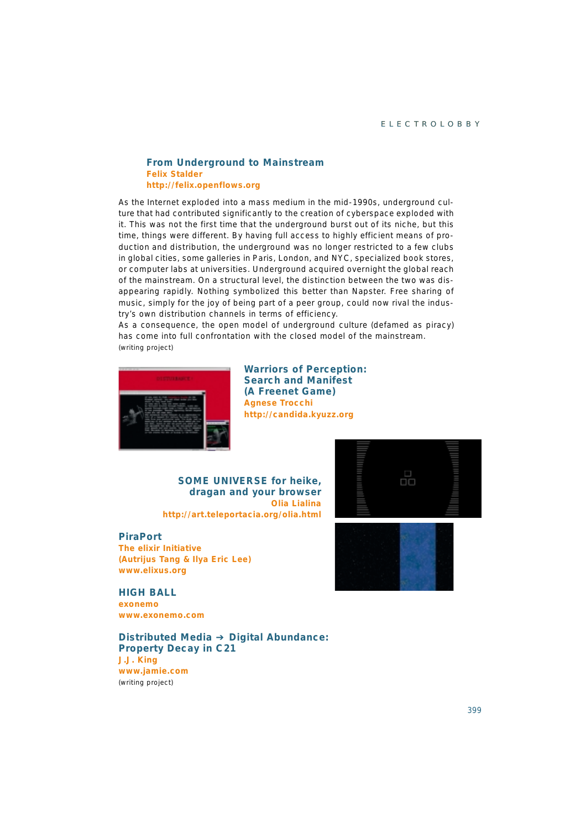## **From Underground to Mainstream Felix Stalder** *http://felix.openflows.org*

As the Internet exploded into a mass medium in the mid-1990s, underground culture that had contributed significantly to the creation of cyberspace exploded with it. This was not the first time that the underground burst out of its niche, but this time, things were different. By having full access to highly efficient means of production and distribution, the underground was no longer restricted to a few clubs in global cities, some galleries in Paris, London, and NYC, specialized book stores, or computer labs at universities. Underground acquired overnight the global reach of the mainstream. On a structural level, the distinction between the two was disappearing rapidly. Nothing symbolized this better than Napster. Free sharing of music, simply for the joy of being part of a peer group, could now rival the industry's own distribution channels in terms of efficiency.

As a consequence, the open model of underground culture (defamed as piracy) has come into full confrontation with the closed model of the mainstream. *(writing project)*



**Warriors of Perception: Search and Manifest (A Freenet Game) Agnese Trocchi** *http://candida.kyuzz.org*

**SOME UNIVERSE for heike, dragan and your browser Olia Lialina** *http://art.teleportacia.org/olia.html*

#### **PiraPort**

**The elixir Initiative (Autrijus Tang & Ilya Eric Lee)** *www.elixus.org*

**HIGH BALL exonemo** *www.exonemo.com*

**Distributed Media** ➔ **Digital Abundance: Property Decay in C21 J.J. King** *www.jamie.com (writing project)*





399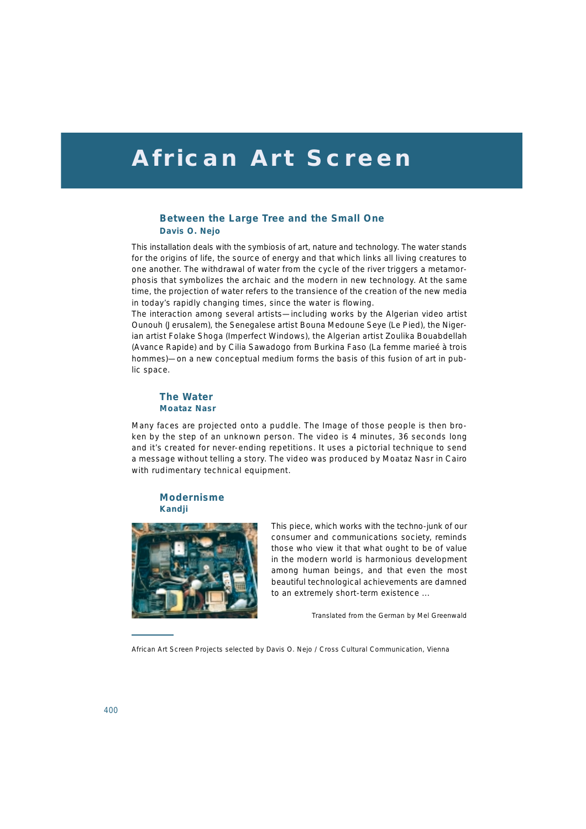# **African Art Screen**

## **Between the Large Tree and the Small One Davis O. Nejo**

This installation deals with the symbiosis of art, nature and technology. The water stands for the origins of life, the source of energy and that which links all living creatures to one another. The withdrawal of water from the cycle of the river triggers a metamorphosis that symbolizes the archaic and the modern in new technology. At the same time, the projection of water refers to the transience of the creation of the new media in today's rapidly changing times, since the water is flowing.

The interaction among several artists—including works by the Algerian video artist Ounouh *(Jerusalem),* the Senegalese artist Bouna Medoune Seye *(Le Pied),* the Nigerian artist Folake Shoga *(Imperfect Windows),* the Algerian artist Zoulika Bouabdellah *(Avance Rapide)* and by Cilia Sawadogo from Burkina Faso *(La femme marieé à trois hommes)*—on a new conceptual medium forms the basis of this fusion of art in public space.

#### **The Water Moataz Nasr**

Many faces are projected onto a puddle. The Image of those people is then broken by the step of an unknown person. The video is 4 minutes, 36 seconds long and it's created for never-ending repetitions. It uses a pictorial technique to send a message without telling a story. The video was produced by Moataz Nasr in Cairo with rudimentary technical equipment.

## **Modernisme Kandji**



This piece, which works with the techno-junk of our consumer and communications society, reminds those who view it that what ought to be of value in the modern world is harmonious development among human beings, and that even the most beautiful technological achievements are damned to an extremely short-term existence ...

Translated from the German by Mel Greenwald

African Art Screen Projects selected by Davis O. Nejo / Cross Cultural Communication, Vienna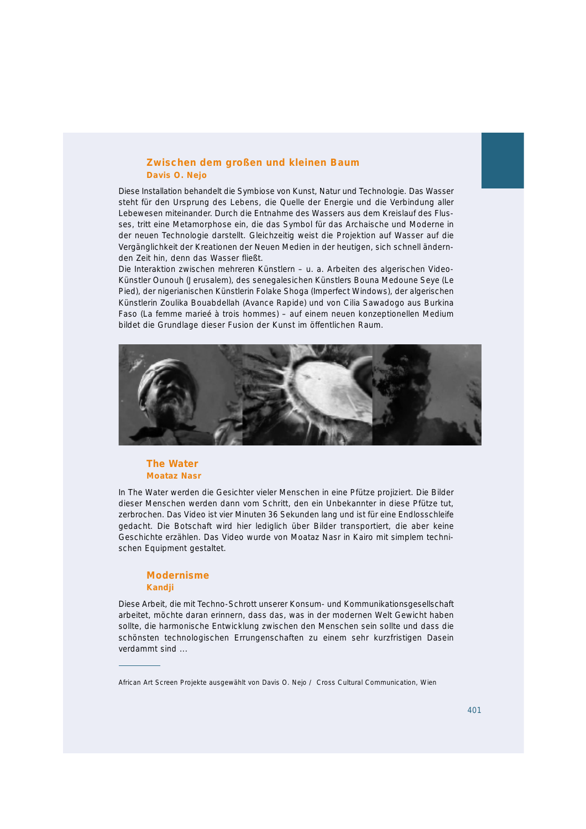## **Zwischen dem großen und kleinen Baum Davis O. Nejo**

Diese Installation behandelt die Symbiose von Kunst, Natur und Technologie. Das Wasser steht für den Ursprung des Lebens, die Quelle der Energie und die Verbindung aller Lebewesen miteinander. Durch die Entnahme des Wassers aus dem Kreislauf des Flusses, tritt eine Metamorphose ein, die das Symbol für das Archaische und Moderne in der neuen Technologie darstellt. Gleichzeitig weist die Projektion auf Wasser auf die Vergänglichkeit der Kreationen der Neuen Medien in der heutigen, sich schnell ändernden Zeit hin, denn das Wasser fließt.

Die Interaktion zwischen mehreren Künstlern – u. a. Arbeiten des algerischen Video-Künstler Ounouh *(Jerusalem),* des senegalesichen Künstlers Bouna Medoune Seye *(Le Pied),* der nigerianischen Künstlerin Folake Shoga *(Imperfect Windows),* der algerischen Künstlerin Zoulika Bouabdellah *(Avance Rapide)* und von Cilia Sawadogo aus Burkina Faso *(La femme marieé à trois hommes) –* auf einem neuen konzeptionellen Medium bildet die Grundlage dieser Fusion der Kunst im öffentlichen Raum.



## **The Water Moataz Nasr**

In *The Water* werden die Gesichter vieler Menschen in eine Pfütze projiziert. Die Bilder dieser Menschen werden dann vom Schritt, den ein Unbekannter in diese Pfütze tut, zerbrochen. Das Video ist vier Minuten 36 Sekunden lang und ist für eine Endlosschleife gedacht. Die Botschaft wird hier lediglich über Bilder transportiert, die aber keine Geschichte erzählen. Das Video wurde von Moataz Nasr in Kairo mit simplem technischen Equipment gestaltet.

## **Modernisme Kandji**

Diese Arbeit, die mit Techno-Schrott unserer Konsum- und Kommunikationsgesellschaft arbeitet, möchte daran erinnern, dass das, was in der modernen Welt Gewicht haben sollte, die harmonische Entwicklung zwischen den Menschen sein sollte und dass die schönsten technologischen Errungenschaften zu einem sehr kurzfristigen Dasein verdammt sind ...

African Art Screen Projekte ausgewählt von Davis O. Nejo / Cross Cultural Communication, Wien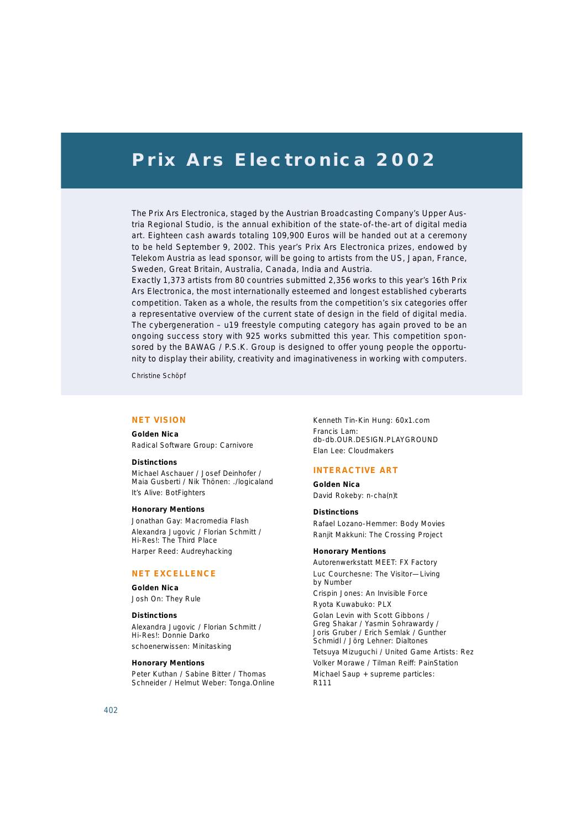## **Prix Ars Electronica 2002**

The Prix Ars Electronica, staged by the Austrian Broadcasting Company's Upper Austria Regional Studio, is the annual exhibition of the state-of-the-art of digital media art. Eighteen cash awards totaling 109,900 Euros will be handed out at a ceremony to be held September 9, 2002. This year's Prix Ars Electronica prizes, endowed by Telekom Austria as lead sponsor, will be going to artists from the US, Japan, France, Sweden, Great Britain, Australia, Canada, India and Austria.

Exactly 1,373 artists from 80 countries submitted 2,356 works to this year's 16th Prix Ars Electronica, the most internationally esteemed and longest established cyberarts competition. Taken as a whole, the results from the competition's six categories offer a representative overview of the current state of design in the field of digital media. The cybergeneration – u19 freestyle computing category has again proved to be an ongoing success story with 925 works submitted this year. This competition sponsored by the BAWAG / P.S.K. Group is designed to offer young people the opportunity to display their ability, creativity and imaginativeness in working with computers.

Christine Schöpf

## **NET VISION**

#### **Golden Nica**

Radical Software Group: Carnivore

#### **Distinctions**

Michael Aschauer / Josef Deinhofer / Maia Gusberti / Nik Thönen: ./logicaland It's Alive: BotFighters

#### **Honorary Mentions**

Jonathan Gay: Macromedia Flash Alexandra Jugovic / Florian Schmitt / Hi-Res!: The Third Place Harper Reed: Audreyhacking

#### **NET EXCELLENCE**

#### **Golden Nica**

Josh On: They Rule

#### **Distinctions**

Alexandra Jugovic / Florian Schmitt / Hi-Res!: Donnie Darko schoenerwissen: Minitasking

#### **Honorary Mentions**

Peter Kuthan / Sabine Bitter / Thomas Schneider / Helmut Weber: Tonga.Online Kenneth Tin-Kin Hung: 60x1.com Francis Lam: db-db.OUR.DESIGN.PLAYGROUND Elan Lee: Cloudmakers

#### **INTERACTIVE ART**

**Golden Nica** David Rokeby: n-cha(n)t

#### **Distinctions**

Rafael Lozano-Hemmer: Body Movies Ranjit Makkuni: The Crossing Project

#### **Honorary Mentions**

Autorenwerkstatt MEET: FX Factory Luc Courchesne: The Visitor—Living by Number

Crispin Jones: An Invisible Force

Ryota Kuwabuko: PLX

Golan Levin with Scott Gibbons / Greg Shakar / Yasmin Sohrawardy / Joris Gruber / Erich Semlak / Gunther Schmidl / Jörg Lehner: Dialtones

Tetsuya Mizuguchi / United Game Artists: Rez Volker Morawe / Tilman Reiff: PainStation Michael Saup + supreme particles: R111